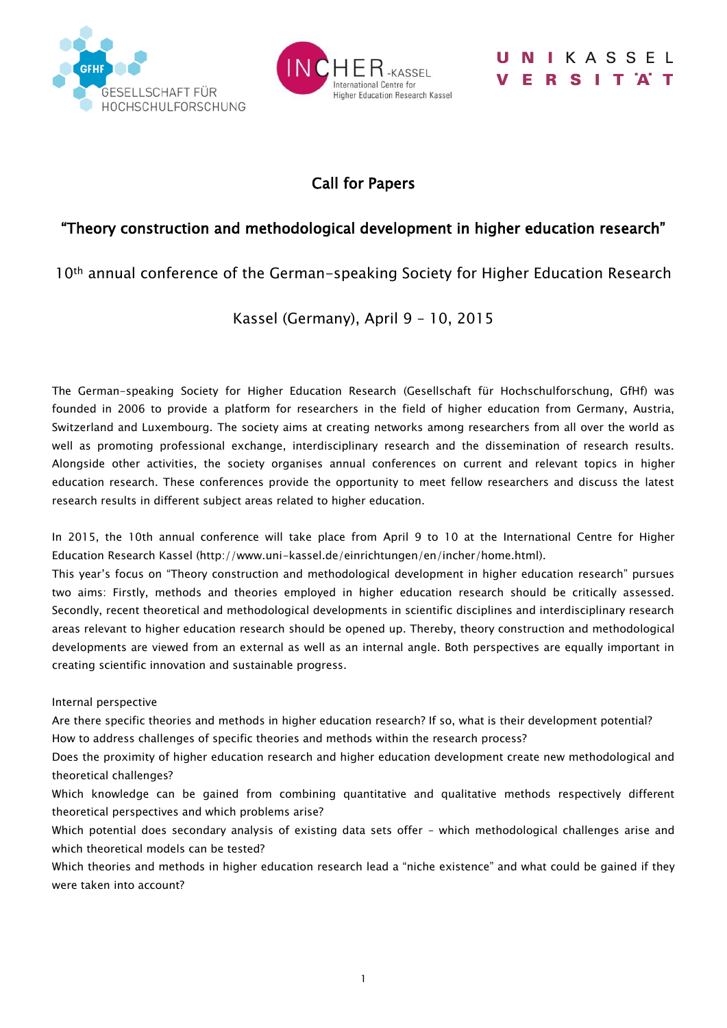



## IKASSEL RSITAT

## Call for Papers

## "Theory construction and methodological development in higher education research"

10th annual conference of the German-speaking Society for Higher Education Research

## Kassel (Germany), April 9 – 10, 2015

The German-speaking Society for Higher Education Research (Gesellschaft für Hochschulforschung, GfHf) was founded in 2006 to provide a platform for researchers in the field of higher education from Germany, Austria, Switzerland and Luxembourg. The society aims at creating networks among researchers from all over the world as well as promoting professional exchange, interdisciplinary research and the dissemination of research results. Alongside other activities, the society organises annual conferences on current and relevant topics in higher education research. These conferences provide the opportunity to meet fellow researchers and discuss the latest research results in different subject areas related to higher education.

In 2015, the 10th annual conference will take place from April 9 to 10 at the International Centre for Higher Education Research Kassel (http://www.uni-kassel.de/einrichtungen/en/incher/home.html).

This year's focus on "Theory construction and methodological development in higher education research" pursues two aims: Firstly, methods and theories employed in higher education research should be critically assessed. Secondly, recent theoretical and methodological developments in scientific disciplines and interdisciplinary research areas relevant to higher education research should be opened up. Thereby, theory construction and methodological developments are viewed from an external as well as an internal angle. Both perspectives are equally important in creating scientific innovation and sustainable progress.

Internal perspective

Are there specific theories and methods in higher education research? If so, what is their development potential? How to address challenges of specific theories and methods within the research process?

Does the proximity of higher education research and higher education development create new methodological and theoretical challenges?

Which knowledge can be gained from combining quantitative and qualitative methods respectively different theoretical perspectives and which problems arise?

Which potential does secondary analysis of existing data sets offer - which methodological challenges arise and which theoretical models can be tested?

Which theories and methods in higher education research lead a "niche existence" and what could be gained if they were taken into account?